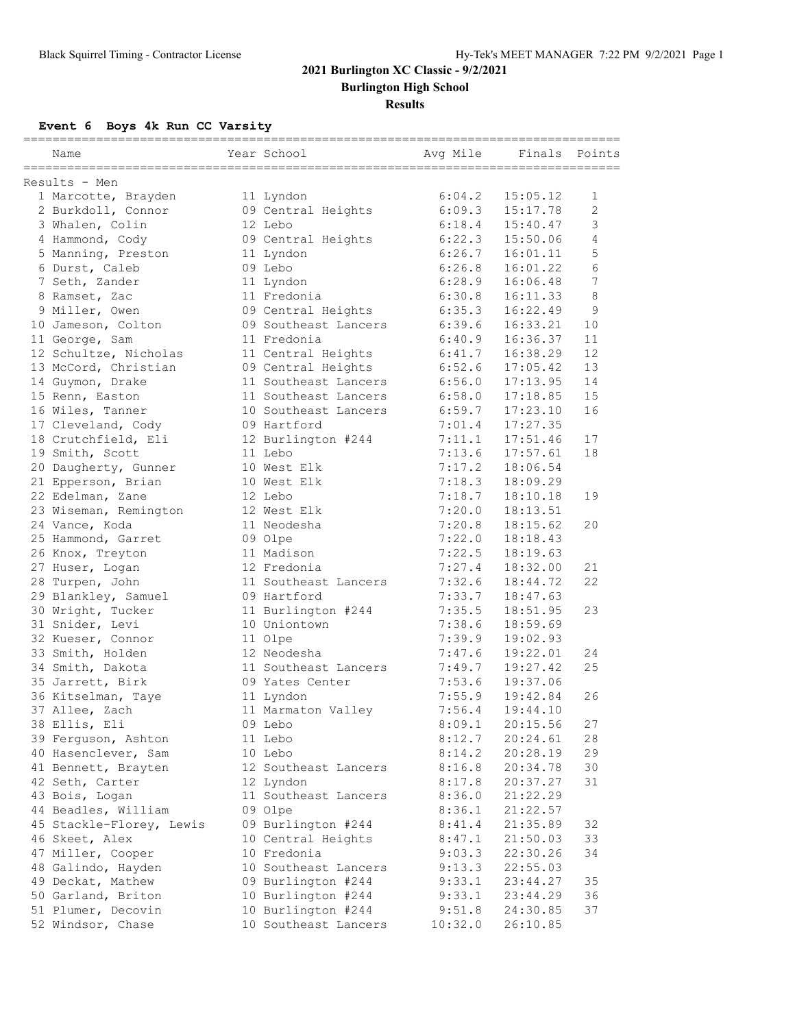**Burlington High School**

### **Results**

**Event 6 Boys 4k Run CC Varsity**

| ===========<br>Name                      | Year School                              | Avg Mile         | Finals               | Points                   |
|------------------------------------------|------------------------------------------|------------------|----------------------|--------------------------|
| Results - Men                            |                                          |                  |                      |                          |
| 1 Marcotte, Brayden                      | 11 Lyndon                                | 6:04.2           | 15:05.12             | 1                        |
| 2 Burkdoll, Connor                       | 09 Central Heights                       | 6:09.3           | 15:17.78             | $\overline{2}$           |
| 3 Whalen, Colin                          | 12 Lebo                                  | 6:18.4           | 15:40.47             | 3                        |
| 4 Hammond, Cody                          | 09 Central Heights                       | 6:22.3           | 15:50.06             | 4                        |
| 5 Manning, Preston                       | 11 Lyndon                                | 6:26.7           | 16:01.11             | 5                        |
| 6 Durst, Caleb                           | 09 Lebo                                  | 6:26.8           | 16:01.22             | 6                        |
| 7 Seth, Zander                           | 11 Lyndon                                | 6:28.9           | 16:06.48             | $\overline{\phantom{a}}$ |
| 8 Ramset, Zac                            | 11 Fredonia                              | 6:30.8           | 16:11.33             | 8                        |
| 9 Miller, Owen                           | 09 Central Heights                       | 6:35.3           | 16:22.49             | 9                        |
| 10 Jameson, Colton                       | 09 Southeast Lancers                     | 6:39.6           | 16:33.21             | 10                       |
| 11 George, Sam                           | 11 Fredonia                              | 6:40.9           | 16:36.37             | 11                       |
| 12 Schultze, Nicholas                    | 11 Central Heights                       | 6:41.7           | 16:38.29             | 12                       |
| 13 McCord, Christian                     | 09 Central Heights                       | 6:52.6           | 17:05.42             | 13                       |
| 14 Guymon, Drake                         | 11 Southeast Lancers                     | 6:56.0           | 17:13.95             | 14                       |
| 15 Renn, Easton                          | 11 Southeast Lancers                     | 6:58.0           | 17:18.85             | 15                       |
| 16 Wiles, Tanner                         | 10 Southeast Lancers                     | 6:59.7           | 17:23.10             | 16                       |
| 17 Cleveland, Cody                       | 09 Hartford                              | 7:01.4           | 17:27.35             |                          |
| 18 Crutchfield, Eli                      | 12 Burlington #244                       | 7:11.1           | 17:51.46             | 17                       |
| 19 Smith, Scott                          | 11 Lebo                                  | 7:13.6           | 17:57.61             | 18                       |
| 20 Daugherty, Gunner                     | 10 West Elk                              | 7:17.2           | 18:06.54             |                          |
| 21 Epperson, Brian                       | 10 West Elk                              | 7:18.3           | 18:09.29             |                          |
| 22 Edelman, Zane                         | 12 Lebo                                  | 7:18.7           | 18:10.18             | 19                       |
| 23 Wiseman, Remington                    | 12 West Elk                              | 7:20.0           | 18:13.51             |                          |
| 24 Vance, Koda                           | 11 Neodesha                              | 7:20.8           | 18:15.62             | 20                       |
| 25 Hammond, Garret                       | 09 Olpe                                  | 7:22.0           | 18:18.43             |                          |
| 26 Knox, Treyton                         | 11 Madison                               | 7:22.5           | 18:19.63             |                          |
| 27 Huser, Logan                          | 12 Fredonia                              | 7:27.4           | 18:32.00             | 21                       |
| 28 Turpen, John                          | 11 Southeast Lancers                     | 7:32.6           | 18:44.72             | 22                       |
| 29 Blankley, Samuel                      | 09 Hartford                              | 7:33.7           | 18:47.63             |                          |
| 30 Wright, Tucker                        | 11 Burlington #244                       | 7:35.5           | 18:51.95             | 23                       |
| 31 Snider, Levi                          | 10 Uniontown                             | 7:38.6           | 18:59.69             |                          |
| 32 Kueser, Connor                        | 11 Olpe                                  | 7:39.9           | 19:02.93             |                          |
| 33 Smith, Holden                         | 12 Neodesha                              | 7:47.6           | 19:22.01             | 24                       |
| 34 Smith, Dakota                         | 11 Southeast Lancers                     | 7:49.7           | 19:27.42             | 25                       |
| 35 Jarrett, Birk                         | 09 Yates Center                          | 7:53.6           | 19:37.06             |                          |
| 36 Kitselman, Taye                       | 11 Lyndon                                | 7:55.9           | 19:42.84             | 26                       |
| 37 Allee, Zach                           | 11 Marmaton Valley                       | 7:56.4           | 19:44.10             |                          |
| 38 Ellis, Eli                            | 09 Lebo                                  | 8:09.1           | 20:15.56             | 27                       |
| 39 Ferguson, Ashton                      | 11 Lebo                                  | 8:12.7           | 20:24.61             | 28                       |
| 40 Hasenclever, Sam                      | 10 Lebo                                  | 8:14.2           | 20:28.19             | 29                       |
| 41 Bennett, Brayten                      | 12 Southeast Lancers                     | 8:16.8           | 20:34.78             | 30                       |
| 42 Seth, Carter                          | 12 Lyndon                                | 8:17.8           | 20:37.27             | 31                       |
| 43 Bois, Logan                           | 11 Southeast Lancers                     | 8:36.0           | 21:22.29             |                          |
| 44 Beadles, William                      | 09 Olpe                                  | 8:36.1           | 21:22.57             |                          |
| 45 Stackle-Florey, Lewis                 | 09 Burlington #244                       | 8:41.4           | 21:35.89             | 32                       |
|                                          | 10 Central Heights                       | 8:47.1           | 21:50.03             | 33                       |
| 46 Skeet, Alex                           |                                          |                  |                      |                          |
| 47 Miller, Cooper                        | 10 Fredonia                              | 9:03.3           | 22:30.26             | 34                       |
| 48 Galindo, Hayden<br>49 Deckat, Mathew  | 10 Southeast Lancers                     | 9:13.3<br>9:33.1 | 22:55.03<br>23:44.27 | 35                       |
|                                          | 09 Burlington #244                       |                  |                      | 36                       |
| 50 Garland, Briton<br>51 Plumer, Decovin | 10 Burlington #244<br>10 Burlington #244 | 9:33.1           | 23:44.29             | 37                       |
|                                          |                                          | 9:51.8           | 24:30.85             |                          |
| 52 Windsor, Chase                        | 10 Southeast Lancers                     | 10:32.0          | 26:10.85             |                          |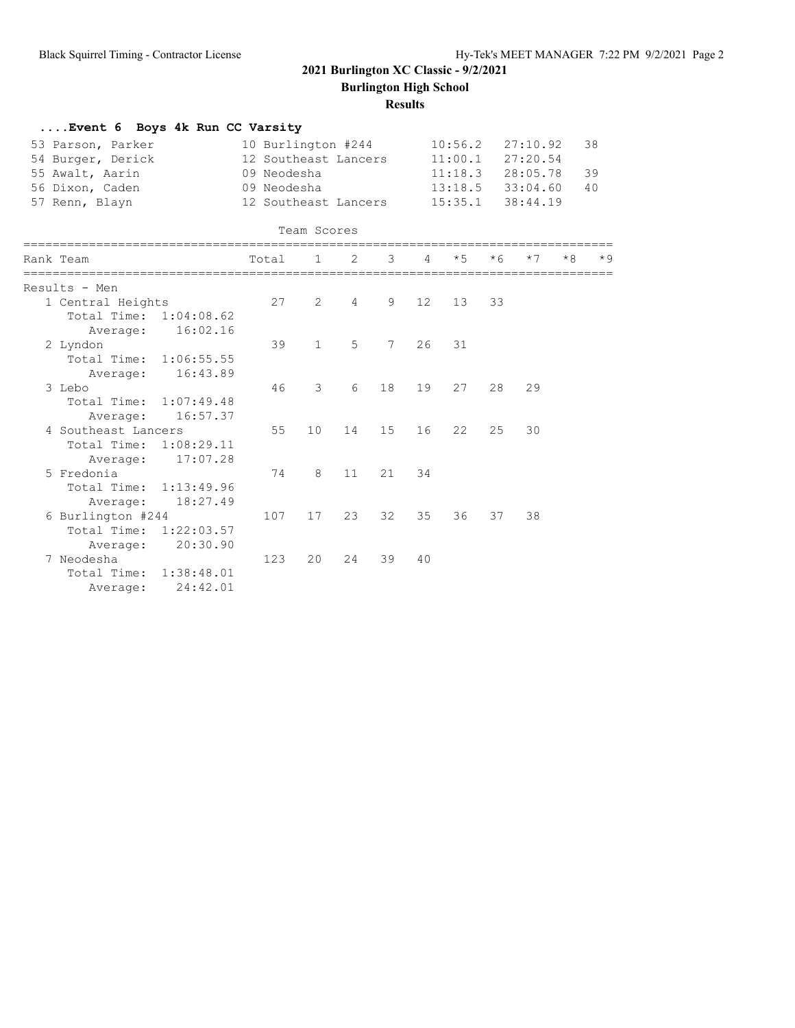**Burlington High School**

### **Results**

| Event 6 Boys 4k Run CC Varsity |                      |                      |                |                      |                 |           |                      |                      |      |      |  |
|--------------------------------|----------------------|----------------------|----------------|----------------------|-----------------|-----------|----------------------|----------------------|------|------|--|
| 53 Parson, Parker              | 10 Burlington #244   |                      |                |                      |                 | 10:56.2   |                      | 27:10.92             | 38   |      |  |
| 54 Burger, Derick              |                      | 12 Southeast Lancers |                |                      |                 |           | $11:00.1$ $27:20.54$ |                      |      |      |  |
| 55 Awalt, Aarin                | 09 Neodesha          |                      |                | $11:18.3$ $28:05.78$ |                 |           | 39                   |                      |      |      |  |
| 56 Dixon, Caden                |                      | 09 Neodesha          |                |                      |                 |           |                      | $13:18.5$ $33:04.60$ |      |      |  |
| 57 Renn, Blayn                 | 12 Southeast Lancers |                      |                |                      |                 | 15:35.1   |                      | 38:44.19             |      |      |  |
|                                |                      | Team Scores          |                |                      |                 |           |                      |                      |      |      |  |
| Rank Team                      | Total                | $\mathbf{1}$         | 2              | 3                    | 4               | $\star$ 5 | $*6$                 | $*7$                 | $*8$ | $*9$ |  |
| Results - Men                  |                      |                      |                |                      |                 |           |                      |                      |      |      |  |
| 1 Central Heights              | 27                   | 2                    | $\overline{4}$ | 9                    | 12 <sup>°</sup> | 13        | 33                   |                      |      |      |  |
| Total Time: 1:04:08.62         |                      |                      |                |                      |                 |           |                      |                      |      |      |  |
| 16:02.16<br>Average:           |                      |                      |                |                      |                 |           |                      |                      |      |      |  |
| 2 Lyndon                       | 39                   | $\mathbf{1}$         | 5              | $7^{\circ}$          | 26              | 31        |                      |                      |      |      |  |
| Total Time: 1:06:55.55         |                      |                      |                |                      |                 |           |                      |                      |      |      |  |
| 16:43.89<br>Average:           |                      |                      |                |                      |                 |           |                      |                      |      |      |  |
| 3 Lebo                         | 46                   | 3                    | 6              | 18                   | 19              | 27        | 28                   | 29                   |      |      |  |
| Total Time: 1:07:49.48         |                      |                      |                |                      |                 |           |                      |                      |      |      |  |
| 16:57.37<br>Average:           |                      |                      |                |                      |                 |           |                      |                      |      |      |  |
| 4 Southeast Lancers            | 55                   | 10                   | 14             | 15                   | 16              | 22        | 25                   | 30                   |      |      |  |
| Total Time:<br>1:08:29.11      |                      |                      |                |                      |                 |           |                      |                      |      |      |  |
| 17:07.28<br>Average:           |                      |                      |                |                      |                 |           |                      |                      |      |      |  |
| 5 Fredonia                     | 74                   | 8                    | 11             | 21                   | 34              |           |                      |                      |      |      |  |
| Total Time: 1:13:49.96         |                      |                      |                |                      |                 |           |                      |                      |      |      |  |
| 18:27.49<br>Average:           |                      |                      |                |                      |                 |           |                      |                      |      |      |  |
| 6 Burlington #244              | 107                  | 17                   | 23             | 32                   | 35              | 36        | 37                   | 38                   |      |      |  |
| Total Time: 1:22:03.57         |                      |                      |                |                      |                 |           |                      |                      |      |      |  |
| 20:30.90<br>Average:           |                      |                      |                |                      |                 |           |                      |                      |      |      |  |
| 7 Neodesha                     | 123                  | 20                   | 24             | 39                   | 40              |           |                      |                      |      |      |  |
| Total Time:<br>1:38:48.01      |                      |                      |                |                      |                 |           |                      |                      |      |      |  |
| 24:42.01<br>Average:           |                      |                      |                |                      |                 |           |                      |                      |      |      |  |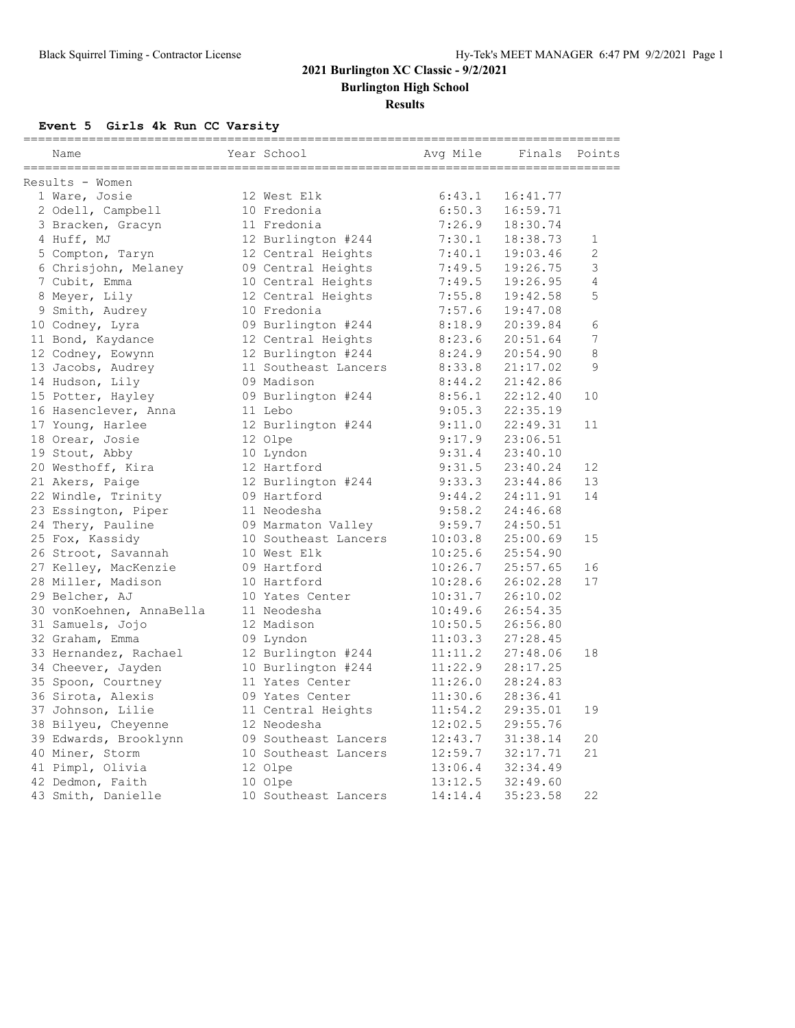**Burlington High School**

### **Results**

## **Event 5 Girls 4k Run CC Varsity**

| Name                     | Year School          | Avq Mile | Finals   | Points      |
|--------------------------|----------------------|----------|----------|-------------|
| Results - Women          |                      |          |          |             |
| 1 Ware, Josie            | 12 West Elk          | 6:43.1   | 16:41.77 |             |
| 2 Odell, Campbell        | 10 Fredonia          | 6:50.3   | 16:59.71 |             |
| 3 Bracken, Gracyn        | 11 Fredonia          | 7:26.9   | 18:30.74 |             |
| 4 Huff, MJ               | 12 Burlington #244   | 7:30.1   | 18:38.73 | $\mathbf 1$ |
| 5 Compton, Taryn         | 12 Central Heights   | 7:40.1   | 19:03.46 | 2           |
| 6 Chrisjohn, Melaney     | 09 Central Heights   | 7:49.5   | 19:26.75 | 3           |
| 7 Cubit, Emma            | 10 Central Heights   | 7:49.5   | 19:26.95 | 4           |
| 8 Meyer, Lily            | 12 Central Heights   | 7:55.8   | 19:42.58 | 5           |
| 9 Smith, Audrey          | 10 Fredonia          | 7:57.6   | 19:47.08 |             |
| 10 Codney, Lyra          | 09 Burlington #244   | 8:18.9   | 20:39.84 | 6           |
| 11 Bond, Kaydance        | 12 Central Heights   | 8:23.6   | 20:51.64 | 7           |
| 12 Codney, Eowynn        | 12 Burlington #244   | 8:24.9   | 20:54.90 | 8           |
| 13 Jacobs, Audrey        | 11 Southeast Lancers | 8:33.8   | 21:17.02 | 9           |
| 14 Hudson, Lily          | 09 Madison           | 8:44.2   | 21:42.86 |             |
| 15 Potter, Hayley        | 09 Burlington #244   | 8:56.1   | 22:12.40 | 10          |
| 16 Hasenclever, Anna     | 11 Lebo              | 9:05.3   | 22:35.19 |             |
| 17 Young, Harlee         | 12 Burlington #244   | 9:11.0   | 22:49.31 | 11          |
| 18 Orear, Josie          | 12 Olpe              | 9:17.9   | 23:06.51 |             |
| 19 Stout, Abby           | 10 Lyndon            | 9:31.4   | 23:40.10 |             |
| 20 Westhoff, Kira        | 12 Hartford          | 9:31.5   | 23:40.24 | 12          |
| 21 Akers, Paige          | 12 Burlington #244   | 9:33.3   | 23:44.86 | 13          |
| 22 Windle, Trinity       | 09 Hartford          | 9:44.2   | 24:11.91 | 14          |
| 23 Essington, Piper      | 11 Neodesha          | 9:58.2   | 24:46.68 |             |
| 24 Thery, Pauline        | 09 Marmaton Valley   | 9:59.7   | 24:50.51 |             |
| 25 Fox, Kassidy          | 10 Southeast Lancers | 10:03.8  | 25:00.69 | 15          |
| 26 Stroot, Savannah      | 10 West Elk          | 10:25.6  | 25:54.90 |             |
| 27 Kelley, MacKenzie     | 09 Hartford          | 10:26.7  | 25:57.65 | 16          |
| 28 Miller, Madison       | 10 Hartford          | 10:28.6  | 26:02.28 | 17          |
| 29 Belcher, AJ           | 10 Yates Center      | 10:31.7  | 26:10.02 |             |
| 30 vonKoehnen, AnnaBella | 11 Neodesha          | 10:49.6  | 26:54.35 |             |
| 31 Samuels, Jojo         | 12 Madison           | 10:50.5  | 26:56.80 |             |
| 32 Graham, Emma          | 09 Lyndon            | 11:03.3  | 27:28.45 |             |
| 33 Hernandez, Rachael    | 12 Burlington #244   | 11:11.2  | 27:48.06 | 18          |
| 34 Cheever, Jayden       | 10 Burlington #244   | 11:22.9  | 28:17.25 |             |
| 35 Spoon, Courtney       | 11 Yates Center      | 11:26.0  | 28:24.83 |             |
| 36 Sirota, Alexis        | 09 Yates Center      | 11:30.6  | 28:36.41 |             |
| 37 Johnson, Lilie        | 11 Central Heights   | 11:54.2  | 29:35.01 | 19          |
| 38 Bilyeu, Cheyenne      | 12 Neodesha          | 12:02.5  | 29:55.76 |             |
| 39 Edwards, Brooklynn    | 09 Southeast Lancers | 12:43.7  | 31:38.14 | 20          |
| 40 Miner, Storm          | 10 Southeast Lancers | 12:59.7  | 32:17.71 | 21          |
| 41 Pimpl, Olivia         | 12 Olpe              | 13:06.4  | 32:34.49 |             |
| 42 Dedmon, Faith         | 10 Olpe              | 13:12.5  | 32:49.60 |             |
| 43 Smith, Danielle       | 10 Southeast Lancers | 14:14.4  | 35:23.58 | 22          |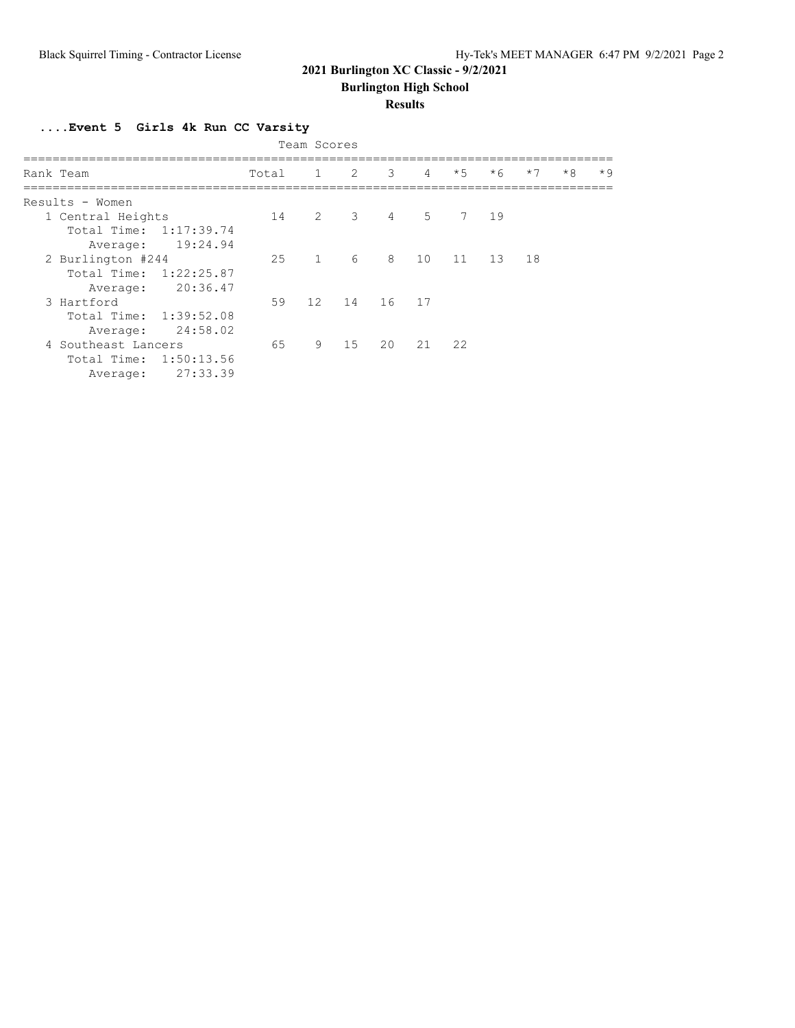**Burlington High School**

### **Results**

**....Event 5 Girls 4k Run CC Varsity**

| Team Scores               |       |                |             |                |                |      |          |      |      |      |  |  |
|---------------------------|-------|----------------|-------------|----------------|----------------|------|----------|------|------|------|--|--|
| Rank Team                 | Total |                | $1 \t 2$    | $\mathcal{E}$  | $\overline{4}$ | $*5$ | $*6$     | $*7$ | $*8$ | $*9$ |  |  |
| Results - Women           |       |                |             |                |                |      |          |      |      |      |  |  |
| 1 Central Heights         | 14    | $\overline{2}$ |             | $3 \t 4 \t 5$  |                |      | 7 19     |      |      |      |  |  |
| Total Time: 1:17:39.74    |       |                |             |                |                |      |          |      |      |      |  |  |
| 19:24.94<br>Average:      |       |                |             |                |                |      |          |      |      |      |  |  |
| 2 Burlington #244         | 25    |                | $1 \quad 6$ | 8 <sup>8</sup> | 10             |      | 11 13 18 |      |      |      |  |  |
| Total Time: 1:22:25.87    |       |                |             |                |                |      |          |      |      |      |  |  |
| 20:36.47<br>Average:      |       |                |             |                |                |      |          |      |      |      |  |  |
| 3 Hartford                | 59    |                | 12 14 16 17 |                |                |      |          |      |      |      |  |  |
| Total Time: 1:39:52.08    |       |                |             |                |                |      |          |      |      |      |  |  |
| 24:58.02<br>Average:      |       |                |             |                |                |      |          |      |      |      |  |  |
| 4 Southeast Lancers       | 65    | 9              | 15          | 20             | 21             | 22   |          |      |      |      |  |  |
| Total Time:<br>1:50:13.56 |       |                |             |                |                |      |          |      |      |      |  |  |
| 27:33.39<br>Average:      |       |                |             |                |                |      |          |      |      |      |  |  |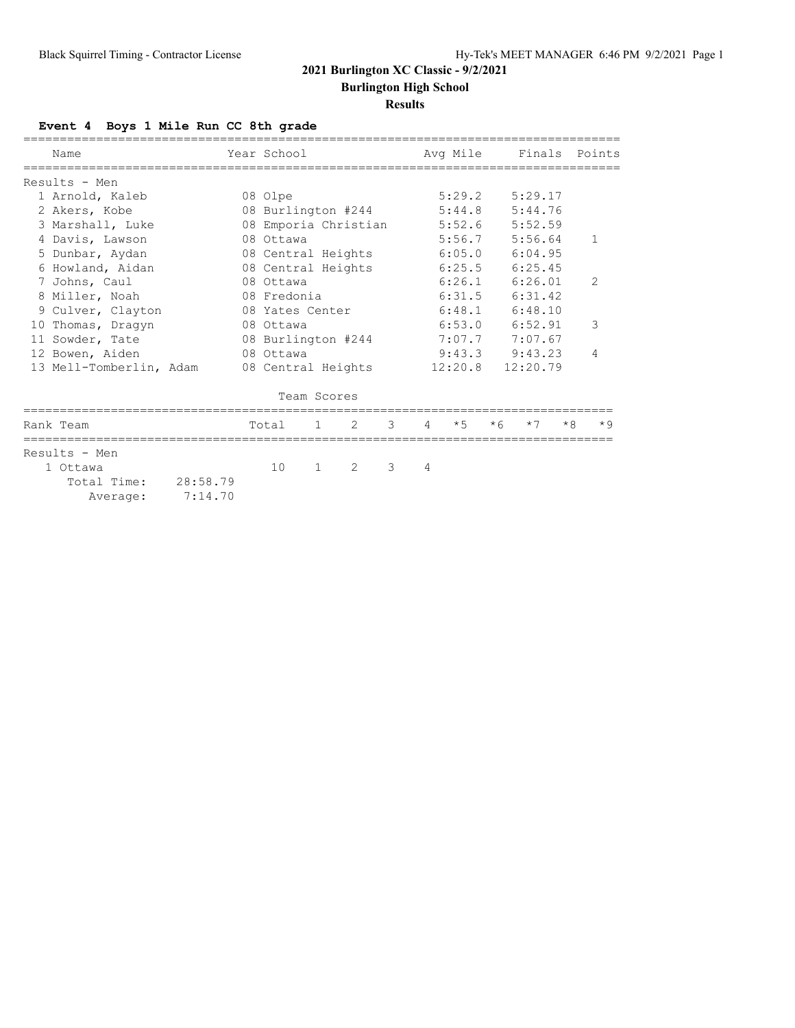**Burlington High School**

### **Results**

## **Event 4 Boys 1 Mile Run CC 8th grade**

|                                                               | Name                    |         |  | Year School        |              |                      |               |                | Avg Mile |      |          |      | Finals Points  |
|---------------------------------------------------------------|-------------------------|---------|--|--------------------|--------------|----------------------|---------------|----------------|----------|------|----------|------|----------------|
|                                                               | Results - Men           |         |  |                    |              |                      |               |                |          |      |          |      |                |
|                                                               | 1 Arnold, Kaleb         |         |  | 08 Olpe            |              |                      |               |                | 5:29.2   |      | 5:29.17  |      |                |
|                                                               | 2 Akers, Kobe           |         |  |                    |              | 08 Burlington #244   |               | 5:44.8         | 5:44.76  |      |          |      |                |
|                                                               | 3 Marshall, Luke        |         |  |                    |              | 08 Emporia Christian |               |                | 5:52.6   |      | 5:52.59  |      |                |
|                                                               | 4 Davis, Lawson         |         |  | 08 Ottawa          |              |                      |               |                | 5:56.7   |      | 5:56.64  |      | $\mathbf{1}$   |
|                                                               | 5 Dunbar, Aydan         |         |  | 08 Central Heights |              |                      |               |                | 6:05.0   |      | 6:04.95  |      |                |
|                                                               | 6 Howland, Aidan        |         |  | 08 Central Heights |              |                      |               |                | 6:25.5   |      | 6:25.45  |      |                |
|                                                               | 7 Johns, Caul           |         |  | 08 Ottawa          |              |                      |               |                | 6:26.1   |      | 6:26.01  |      | $\overline{2}$ |
|                                                               | 8 Miller, Noah          |         |  | 08 Fredonia        |              |                      |               |                | 6:31.5   |      | 6:31.42  |      |                |
|                                                               | 9 Culver, Clayton       |         |  | 08 Yates Center    |              |                      |               |                | 6:48.1   |      | 6:48.10  |      |                |
|                                                               | 10 Thomas, Dragyn       |         |  | 08 Ottawa          |              |                      |               |                | 6:53.0   |      | 6:52.91  |      | 3              |
|                                                               | 11 Sowder, Tate         |         |  | 08 Burlington #244 |              |                      |               |                | 7:07.7   |      | 7:07.67  |      |                |
|                                                               | 12 Bowen, Aiden         |         |  | 08 Ottawa          |              |                      |               |                | 9:43.3   |      | 9:43.23  |      | 4              |
|                                                               | 13 Mell-Tomberlin, Adam |         |  | 08 Central Heights |              |                      |               |                | 12:20.8  |      | 12:20.79 |      |                |
|                                                               |                         |         |  |                    | Team Scores  |                      |               |                |          |      |          |      |                |
|                                                               | Rank Team               |         |  | Total              | 1            | 2                    | $\mathcal{E}$ | $\overline{4}$ | $*5$     | $*6$ | $*7$     | $*8$ | $*9$           |
| Results - Men<br>1 Ottawa<br>Total Time: 28:58.79<br>Average: |                         | 7:14.70 |  | 10                 | $\mathbf{1}$ | $\mathcal{L}$        | 3             | 4              |          |      |          |      |                |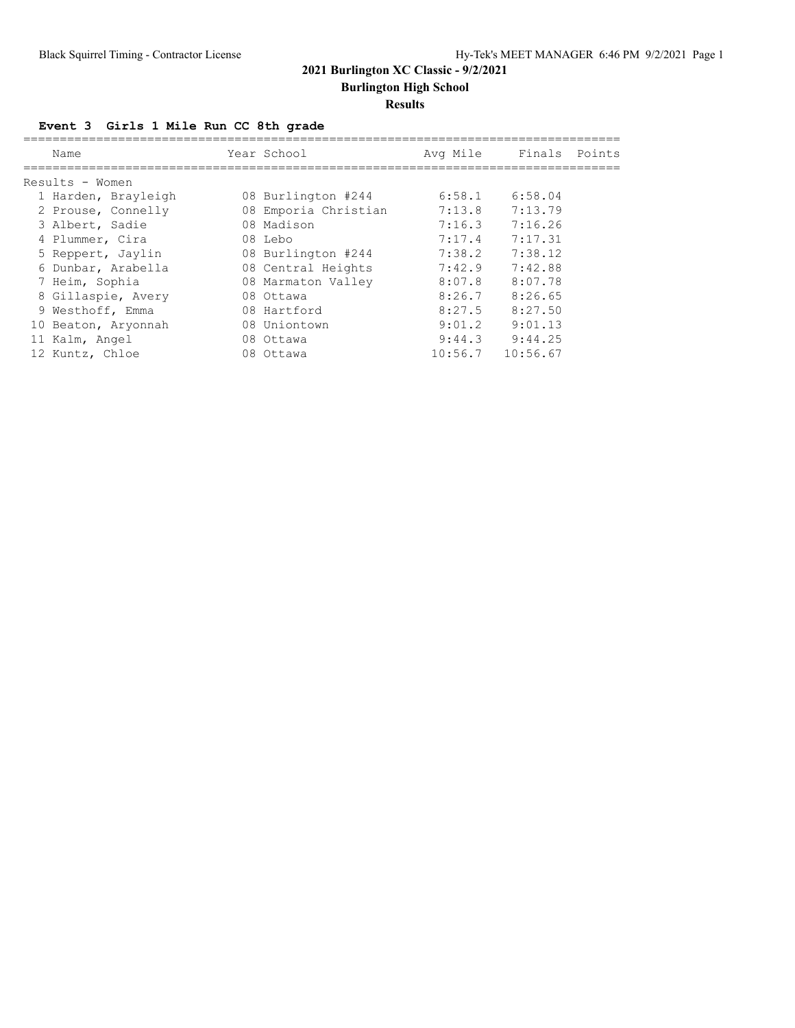**Burlington High School**

### **Results**

## **Event 3 Girls 1 Mile Run CC 8th grade**

| Name                |  | Avg Mile                                                                                                                                                                                                                   |          |               |
|---------------------|--|----------------------------------------------------------------------------------------------------------------------------------------------------------------------------------------------------------------------------|----------|---------------|
| Results - Women     |  |                                                                                                                                                                                                                            |          |               |
| 1 Harden, Brayleigh |  | 6:58.1                                                                                                                                                                                                                     | 6:58.04  |               |
| 2 Prouse, Connelly  |  | 7:13.8                                                                                                                                                                                                                     | 7:13.79  |               |
| 3 Albert, Sadie     |  | 7:16.3                                                                                                                                                                                                                     | 7:16.26  |               |
| 4 Plummer, Cira     |  | 7:17.4                                                                                                                                                                                                                     | 7:17.31  |               |
| 5 Reppert, Jaylin   |  | 7:38.2                                                                                                                                                                                                                     | 7:38.12  |               |
| 6 Dunbar, Arabella  |  | 7:42.9                                                                                                                                                                                                                     | 7:42.88  |               |
| 7 Heim, Sophia      |  | 8:07.8                                                                                                                                                                                                                     | 8:07.78  |               |
| 8 Gillaspie, Avery  |  | 8:26.7                                                                                                                                                                                                                     | 8:26.65  |               |
| 9 Westhoff, Emma    |  | 8:27.5                                                                                                                                                                                                                     | 8:27.50  |               |
| 10 Beaton, Aryonnah |  | 9:01.2                                                                                                                                                                                                                     | 9:01.13  |               |
| 11 Kalm, Angel      |  | 9:44.3                                                                                                                                                                                                                     | 9:44.25  |               |
| 12 Kuntz, Chloe     |  | 10:56.7                                                                                                                                                                                                                    | 10:56.67 |               |
|                     |  | Year School<br>08 Burlington #244<br>08 Emporia Christian<br>08 Madison<br>08 Lebo<br>08 Burlington #244<br>08 Central Heights<br>08 Marmaton Valley<br>08 Ottawa<br>08 Hartford<br>08 Uniontown<br>08 Ottawa<br>08 Ottawa |          | Finals Points |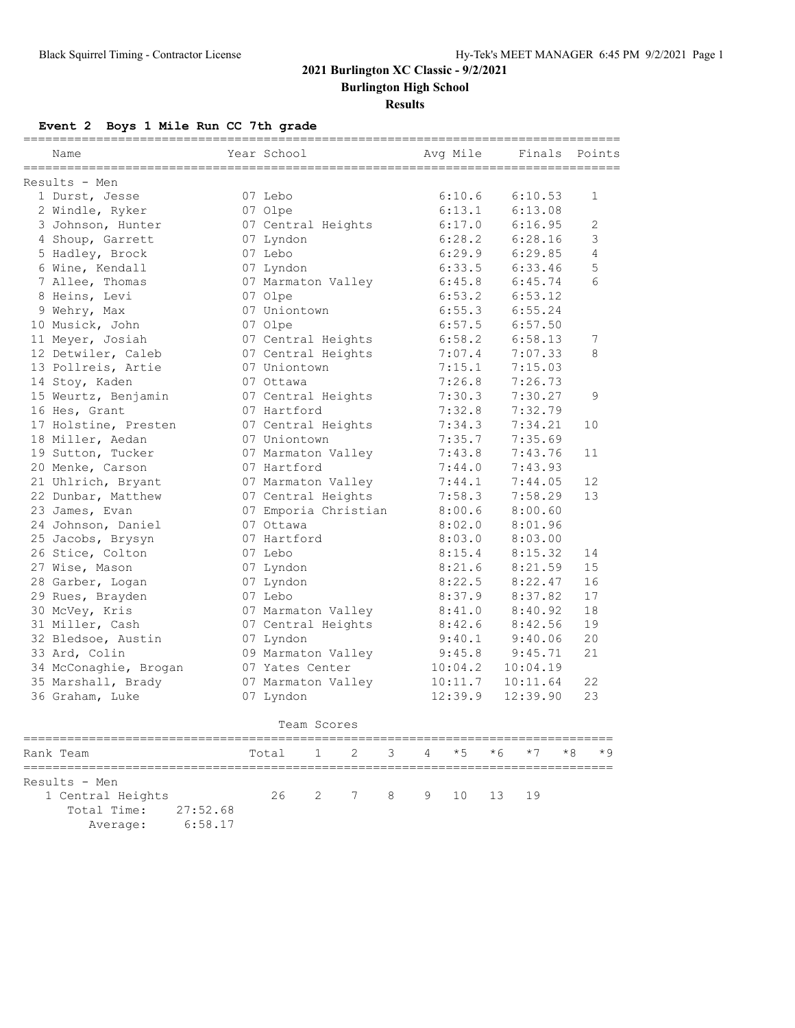**Burlington High School**

#### **Results**

### **Event 2 Boys 1 Mile Run CC 7th grade**

| Name                  | Year School                                  | Avg Mile  | Finals       | Points       |
|-----------------------|----------------------------------------------|-----------|--------------|--------------|
| $Results - Men$       |                                              |           |              |              |
| 1 Durst, Jesse        | 07 Lebo                                      | 6:10.6    | 6:10.53      | $\mathbf{1}$ |
| 2 Windle, Ryker       | 07 Olpe                                      | 6:13.1    | 6:13.08      |              |
| 3 Johnson, Hunter     | 07 Central Heights                           | 6:17.0    | 6:16.95      | 2            |
| 4 Shoup, Garrett      | 07 Lyndon                                    | 6:28.2    | 6:28.16      | 3            |
| 5 Hadley, Brock       | 07 Lebo                                      | 6:29.9    | 6:29.85      | 4            |
| 6 Wine, Kendall       | 07 Lyndon                                    | 6:33.5    | 6:33.46      | 5            |
| 7 Allee, Thomas       | 07 Marmaton Valley                           | 6:45.8    | 6:45.74      | 6            |
| 8 Heins, Levi         | 07 Olpe                                      | 6:53.2    | 6:53.12      |              |
| 9 Wehry, Max          | 07 Uniontown                                 | 6:55.3    | 6:55.24      |              |
| 10 Musick, John       | 07 Olpe                                      | 6:57.5    | 6:57.50      |              |
| 11 Meyer, Josiah      | 07 Central Heights                           | 6:58.2    | 6:58.13      | 7            |
| 12 Detwiler, Caleb    | 07 Central Heights                           | 7:07.4    | 7:07.33      | 8            |
| 13 Pollreis, Artie    | 07 Uniontown                                 | 7:15.1    | 7:15.03      |              |
| 14 Stoy, Kaden        | 07 Ottawa                                    | 7:26.8    | 7:26.73      |              |
| 15 Weurtz, Benjamin   | 07 Central Heights                           | 7:30.3    | 7:30.27      | 9            |
| 16 Hes, Grant         | 07 Hartford                                  | 7:32.8    | 7:32.79      |              |
| 17 Holstine, Presten  | 07 Central Heights                           | 7:34.3    | 7:34.21      | 10           |
| 18 Miller, Aedan      | 07 Uniontown                                 | 7:35.7    | 7:35.69      |              |
| 19 Sutton, Tucker     | 07 Marmaton Valley                           | 7:43.8    | 7:43.76      | 11           |
| 20 Menke, Carson      | 07 Hartford                                  | 7:44.0    | 7:43.93      |              |
| 21 Uhlrich, Bryant    | 07 Marmaton Valley                           | 7:44.1    | 7:44.05      | 12           |
| 22 Dunbar, Matthew    | 07 Central Heights                           | 7:58.3    | 7:58.29      | 13           |
| 23 James, Evan        | 07 Emporia Christian                         | 8:00.6    | 8:00.60      |              |
| 24 Johnson, Daniel    | 07 Ottawa                                    | 8:02.0    | 8:01.96      |              |
| 25 Jacobs, Brysyn     | 07 Hartford                                  | 8:03.0    | 8:03.00      |              |
| 26 Stice, Colton      | 07 Lebo                                      | 8:15.4    | 8:15.32      | 14           |
| 27 Wise, Mason        | 07 Lyndon                                    | 8:21.6    | 8:21.59      | 15           |
| 28 Garber, Logan      | 07 Lyndon                                    | 8:22.5    | 8:22.47      | 16           |
| 29 Rues, Brayden      | 07 Lebo                                      | 8:37.9    | 8:37.82      | 17           |
| 30 McVey, Kris        | 07 Marmaton Valley                           | 8:41.0    | 8:40.92      | 18           |
| 31 Miller, Cash       | 07 Central Heights                           | 8:42.6    | 8:42.56      | 19           |
| 32 Bledsoe, Austin    | 07 Lyndon                                    | 9:40.1    | 9:40.06      | 20           |
| 33 Ard, Colin         | 09 Marmaton Valley                           | 9:45.8    | 9:45.71      | 21           |
| 34 McConaghie, Brogan | 07 Yates Center                              | 10:04.2   | 10:04.19     |              |
| 35 Marshall, Brady    | 07 Marmaton Valley                           | 10:11.7   | 10:11.64     | 22           |
| 36 Graham, Luke       | 07 Lyndon                                    | 12:39.9   | 12:39.90     | 23           |
|                       | Team Scores                                  |           |              |              |
| Rank Team             | $\mathbf{1}$<br>$\mathfrak{D}$<br>3<br>Total | $*5$<br>4 | $*7$<br>$*6$ | $*8$<br>$*9$ |
| Results - Men         |                                              |           |              |              |

 1 Central Heights 26 2 7 8 9 10 13 19 Total Time: 27:52.68

Average: 6:58.17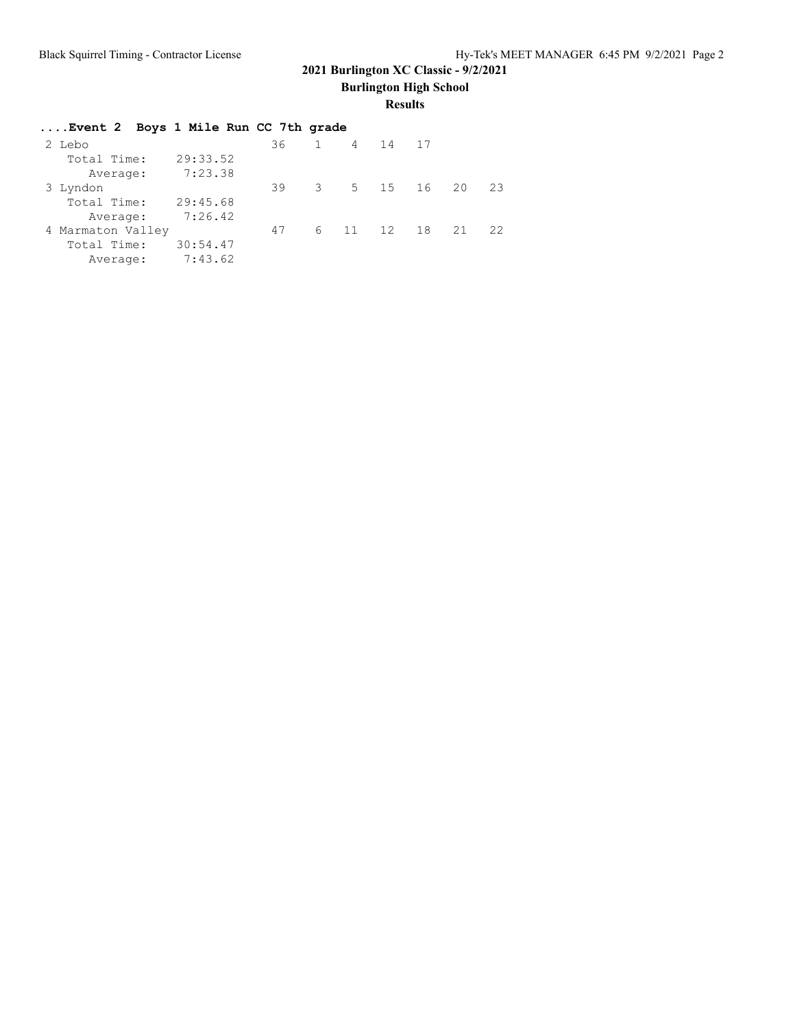**Burlington High School**

## **Results**

| Event 2 Boys 1 Mile Run CC 7th grade |          |    |           |            |    |       |
|--------------------------------------|----------|----|-----------|------------|----|-------|
| 2 Lebo                               |          | 36 | 1 4 14 17 |            |    |       |
| Total Time:                          | 29:33.52 |    |           |            |    |       |
| Average:                             | 7:23.38  |    |           |            |    |       |
| 3 Lyndon                             |          | 39 |           | 3 5 15 16  |    | 20 23 |
| Total Time:                          | 29:45.68 |    |           |            |    |       |
| Average:                             | 7:26.42  |    |           |            |    |       |
| 4 Marmaton Valley                    |          | 47 |           | 6 11 12 18 | 21 | 22    |
| Total Time:                          | 30:54.47 |    |           |            |    |       |
| Average:                             | 7:43.62  |    |           |            |    |       |